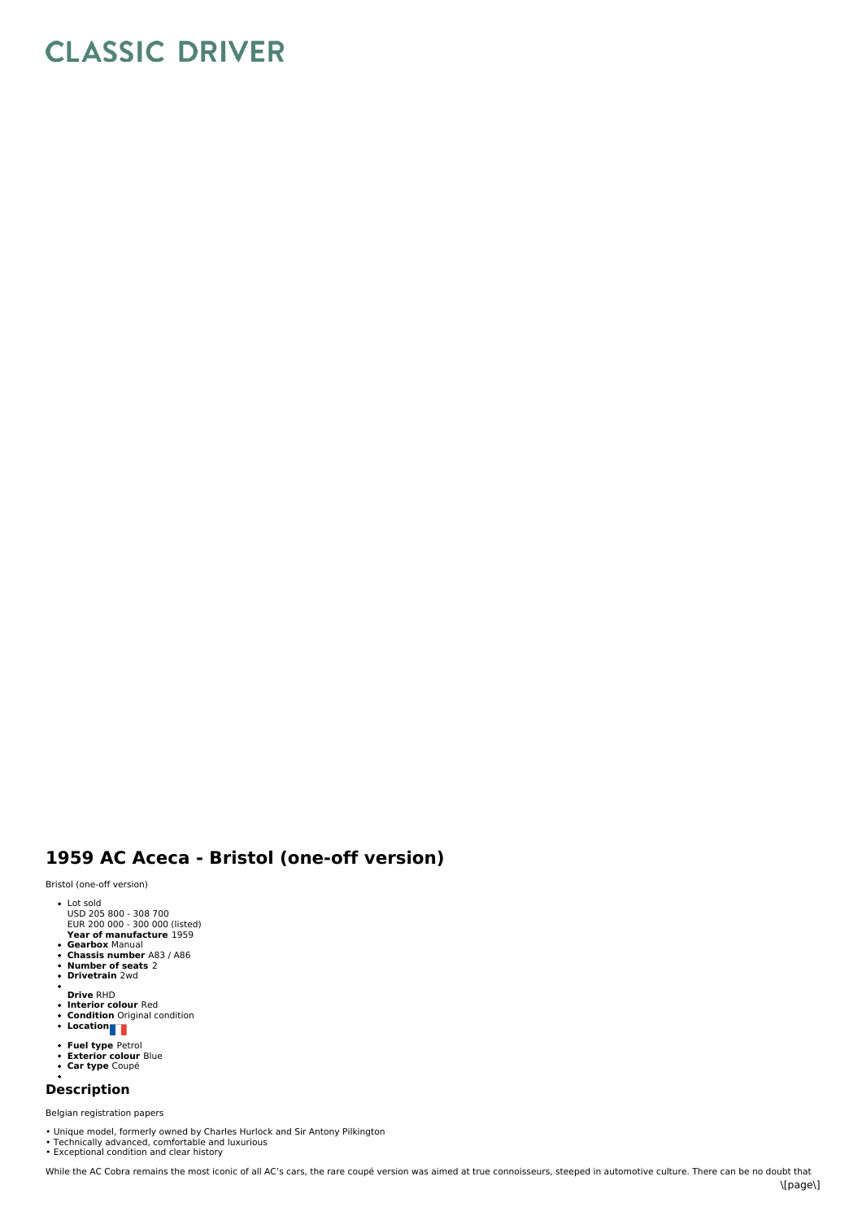## **CLASSIC DRIVER**

## **1959 AC Aceca - Bristol (one-off version)**

Bristol (one-off version)

- 
- Lot sold USD 205 800 308 700 EUR 200 000 300 000 (listed)
- **Year of manufacture** 1959 **Gearbox** Manual **Chassis number** A83 / A86
- 
- $\bullet$
- **Number of seats** 2 **Drivetrain** 2wd  $\ddot{\phantom{a}}$
- 
- **Drive** RHD **Interior colour** Red **Condition** Original condition **Location**
- 
- 
- 
- **Fuel type** Petrol<br>**Exterior colour** Blue<br>**Car type** Coupé
- 

## **Description**

Belgian registration papers

- Unique model, formerly owned by Charles Hurlock and Sir Antony Pilkington<br>• Technically advanced, comfortable and luxurious<br>• Exceptional condition and clear history
-